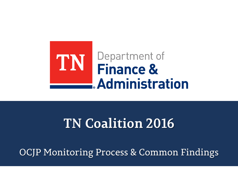

## **TN Coalition 2016**

OCJP Monitoring Process & Common Findings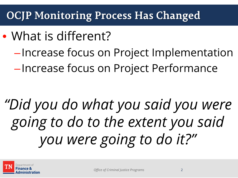### **OCJP Monitoring Process Has Changed**

# • What is different?

–Increase focus on Project Implementation –Increase focus on Project Performance

# *"Did you do what you said you were going to do to the extent you said you were going to do it?"*

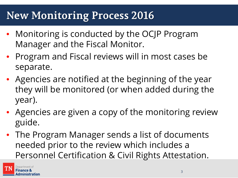### **New Monitoring Process 2016**

- Monitoring is conducted by the OCJP Program Manager and the Fiscal Monitor.
- Program and Fiscal reviews will in most cases be separate.
- Agencies are notified at the beginning of the year they will be monitored (or when added during the year).
- Agencies are given a copy of the monitoring review guide.
- The Program Manager sends a list of documents needed prior to the review which includes a Personnel Certification & Civil Rights Attestation.

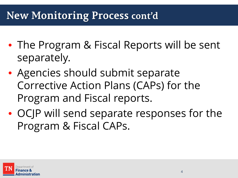### **New Monitoring Process cont'd**

- The Program & Fiscal Reports will be sent separately.
- Agencies should submit separate Corrective Action Plans (CAPs) for the Program and Fiscal reports.
- OCJP will send separate responses for the Program & Fiscal CAPs.

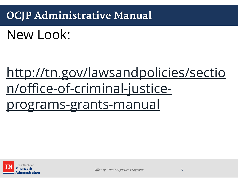### **OCJP Administrative Manual**

New Look:

# [http://tn.gov/lawsandpolicies/sectio](http://tn.gov/lawsandpolicies/section/office-of-criminal-justice-programs-grants-manual) [n/office-of-criminal-justice](http://tn.gov/lawsandpolicies/section/office-of-criminal-justice-programs-grants-manual)[programs-grants-manual](http://tn.gov/lawsandpolicies/section/office-of-criminal-justice-programs-grants-manual)

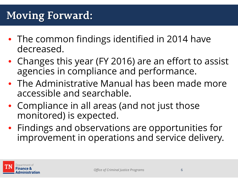### **Moving Forward:**

- The common findings identified in 2014 have decreased.
- Changes this year (FY 2016) are an effort to assist agencies in compliance and performance.
- The Administrative Manual has been made more accessible and searchable.
- Compliance in all areas (and not just those monitored) is expected.
- Findings and observations are opportunities for improvement in operations and service delivery.

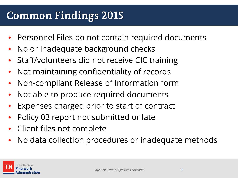### **Common Findings 2015**

- Personnel Files do not contain required documents
- No or inadequate background checks
- Staff/volunteers did not receive CIC training
- Not maintaining confidentiality of records
- Non-compliant Release of Information form
- Not able to produce required documents
- Expenses charged prior to start of contract
- Policy 03 report not submitted or late
- Client files not complete
- No data collection procedures or inadequate methods

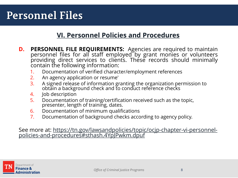### **Personnel Files**

#### **[VI. Personnel Policies and Procedures](https://tn.gov/lawsandpolicies/topic/ocjp-chapter-vi-personnel-policies-and-procedures)**

- **D. PERSONNEL FILE REQUIREMENTS:** Agencies are required to maintain personnel files for all staff employed by grant monies or volunteers providing direct services to clients. These records should minimally<br>contain the following information:
	- 1. Documentation of verified character/employment references
	- 2. An agency application or resume'
	- 3. A signed release of information granting the organization permission to obtain a background check and to conduct reference checks
	- 4. Job description
	- 5. Documentation of training/certification received such as the topic, presenter, length of training, dates.
	- 6. Documentation of minimum qualifications
	- 7. Documentation of background checks according to agency policy.

See more at: [https://tn.gov/lawsandpolicies/topic/ocjp-chapter-vi-personnel-](https://tn.gov/lawsandpolicies/topic/ocjp-chapter-vi-personnel-policies-and-proceduressthash.4YpJPwkm.dpuf)<br>[policies-and-procedures#sthash.4YpJPwkm.dpuf](https://tn.gov/lawsandpolicies/topic/ocjp-chapter-vi-personnel-policies-and-proceduressthash.4YpJPwkm.dpuf)

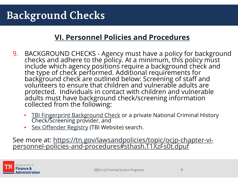### **Background Checks**

#### **[VI. Personnel Policies and Procedures](https://tn.gov/lawsandpolicies/topic/ocjp-chapter-vi-personnel-policies-and-procedures)**

- 9. BACKGROUND CHECKS Agency must have a policy for background checks and adhere to the policy. At a minimum, this policy must include which agency positions require a background check and the type of check performed. Additional requirements for background check are outlined below: Screening of staff and volunteers to ensure that children and vulnerable adults are protected. Individuals in contact with children and vulnerable adults must have background check/screening information collected from the following:
	- TBI Fingerprint Background Check or a private National Criminal History [Check/Screening provider, and](http://www.tbi.state.tn.us/background_checks/taps.shtml)
	- [Sex Offender Registry](http://www.tbi.state.tn.us/sorint/SOMainpg.aspx) (TBI Website) search.

See more at: [https://tn.gov/lawsandpolicies/topic/ocjp-chapter-vi-](https://tn.gov/lawsandpolicies/topic/ocjp-chapter-vi-personnel-policies-and-proceduressthash.T1XzFs0t.dpuf)<br>[personnel-policies-and-procedures#sthash.T1XzFs0t.dpuf](https://tn.gov/lawsandpolicies/topic/ocjp-chapter-vi-personnel-policies-and-proceduressthash.T1XzFs0t.dpuf)

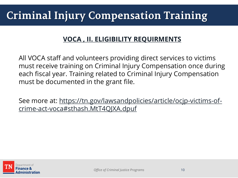### **Criminal Injury Compensation Training**

#### **[VOCA , II. ELIGIBILITY REQUIRMENTS](https://tn.gov/lawsandpolicies/article/ocjp-victims-of-crime-act-voca)**

All VOCA staff and volunteers providing direct services to victims must receive training on Criminal Injury Compensation once during each fiscal year. Training related to Criminal Injury Compensation must be documented in the grant file.

See more at: [https://tn.gov/lawsandpolicies/article/ocjp-victims-of](https://tn.gov/lawsandpolicies/article/ocjp-victims-of-crime-act-vocasthash.MtT4QJXA.dpuf)[crime-act-voca#sthash.MtT4QJXA.dpuf](https://tn.gov/lawsandpolicies/article/ocjp-victims-of-crime-act-vocasthash.MtT4QJXA.dpuf)

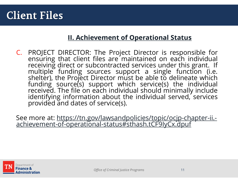#### **Client Files**

#### **[II. Achievement of Operational Status](https://tn.gov/lawsandpolicies/topic/ocjp-chapter-ii.-achievement-of-operational-status)**

C. PROJECT DIRECTOR: The Project Director is responsible for ensuring that client files are maintained on each individual receiving direct or subcontracted services under this grant. If multiple funding sources support <sup>a</sup> single function (i.e. shelter), the Project Director must be able to delineate which funding source(s) support which service(s) the individual received. The file on each individual should minimally include identifying information about the individual served, services provided and dates of service(s).

See more at: [https://tn.gov/lawsandpolicies/topic/ocjp-chapter-ii.-](https://tn.gov/lawsandpolicies/topic/ocjp-chapter-ii.-achievement-of-operational-statussthash.tCF9IyCx.dpuf)<br>[achievement-of-operational-status#sthash.tCF9IyCx.dpuf](https://tn.gov/lawsandpolicies/topic/ocjp-chapter-ii.-achievement-of-operational-statussthash.tCF9IyCx.dpuf)

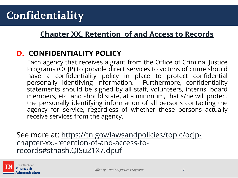#### **[Chapter XX. Retention of and Access to Records](https://tn.gov/lawsandpolicies/topic/ocjp-chapter-xx.-retention-of-and-access-to-records)**

#### **D. CONFIDENTIALITY POLICY**

Each agency that receives a grant from the Office of Criminal Justice Programs (OCJP) to provide direct services to victims of crime should have a confidentiality policy in place to protect confidential personally identifying information. Furthermore, confidentiality statements should be signed by all staff, volunteers, interns, board members, etc. and should state, at a minimum, that s/he will protect the personally identifying information of all persons contacting the agency for service, regardless of whether these persons actually receive services from the agency.

See more at: [https://tn.gov/lawsandpolicies/topic/ocjp](https://tn.gov/lawsandpolicies/topic/ocjp-chapter-xx.-retention-of-and-access-to-recordssthash.QISu21X7.dpuf)[chapter-xx.-retention-of-and-access-to](https://tn.gov/lawsandpolicies/topic/ocjp-chapter-xx.-retention-of-and-access-to-recordssthash.QISu21X7.dpuf)[records#sthash.QISu21X7.dpuf](https://tn.gov/lawsandpolicies/topic/ocjp-chapter-xx.-retention-of-and-access-to-recordssthash.QISu21X7.dpuf)

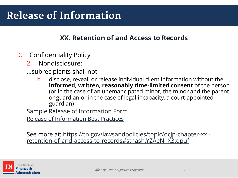#### **[XX. Retention of and Access to Records](https://tn.gov/lawsandpolicies/topic/ocjp-chapter-xx.-retention-of-and-access-to-records)**

- D. Confidentiality Policy
	- 2. Nondisclosure:
	- …subrecipients shall not
		- b. disclose, reveal, or release individual client information without the **informed, written, reasonably time-limited consent** of the person (or in the case of an unemancipated minor, the minor and the parent or guardian or in the case of legal incapacity, a court-appointed guardian)

[Sample Release of Information Form](http://tn.gov/assets/entities/finance/ocjp/attachments/Sample%20Release%20of%20Information.doc)

[Release of Information Best Practices](http://nnedv.org/downloads/SafetyNet/OVW/NNEDV_ConfidentialityReleasesFAQ_2015.pdf)

See more at: [https://tn.gov/lawsandpolicies/topic/ocjp-chapter-xx.](https://tn.gov/lawsandpolicies/topic/ocjp-chapter-xx.-retention-of-and-access-to-recordssthash.YZAeN1X3.dpuf) <u>[retention-of-and-access-to-records#sthash.YZAeN1X3.dpuf](https://tn.gov/lawsandpolicies/topic/ocjp-chapter-xx.-retention-of-and-access-to-recordssthash.YZAeN1X3.dpuf)</u>

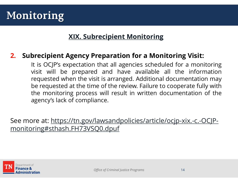### **Monitoring**

#### **[XIX. Subrecipient Monitoring](https://tn.gov/lawsandpolicies/article/ocjp-xix.-c.-OCJP-monitoring)**

#### **2. Subrecipient Agency Preparation for a Monitoring Visit:**

It is OCJP's expectation that all agencies scheduled for a monitoring visit will be prepared and have available all the information requested when the visit is arranged. Additional documentation may be requested at the time of the review. Failure to cooperate fully with the monitoring process will result in written documentation of the agency's lack of compliance.

See more at: [https://tn.gov/lawsandpolicies/article/ocjp-xix.-c.-OCJP](https://tn.gov/lawsandpolicies/article/ocjp-xix.-c.-OCJP-monitoringsthash.FH73VSQ0.dpuf)[monitoring#sthash.FH73VSQ0.dpuf](https://tn.gov/lawsandpolicies/article/ocjp-xix.-c.-OCJP-monitoringsthash.FH73VSQ0.dpuf)

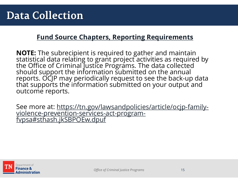#### **[Fund Source Chapters, Reporting Requirements](https://tn.gov/lawsandpolicies/topic/ocjp-fund-source-chapters)**

**NOTE:** The subrecipient is required to gather and maintain<br>statistical data relating to grant project activities as required by the Office of Criminal Justice Programs. The data collected should support the information submitted on the annual reports. OCJP may periodically request to see the back-up data<br>that supports the information submitted on your output and outcome reports.

See more at: <u>[https://tn.gov/lawsandpolicies/article/ocjp-family-](https://tn.gov/lawsandpolicies/article/ocjp-family-violence-prevention-services-act-program-fvpsasthash.jkSBPOEw.dpuf)[violence-prevention-services-act-program-](https://tn.gov/lawsandpolicies/article/ocjp-family-violence-prevention-services-act-program-fvpsasthash.jkSBPOEw.dpuf)</u><br>fypsa#sthash.jkSBPOEw.dpuf

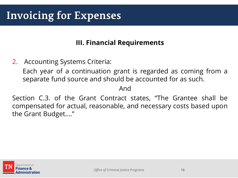### **Invoicing for Expenses**

#### **III. Financial Requirements**

2. Accounting Systems Criteria:

Each year of a continuation grant is regarded as coming from a separate fund source and should be accounted for as such.

And

Section C.3. of the Grant Contract states, "The Grantee shall be compensated for actual, reasonable, and necessary costs based upon the Grant Budget…."

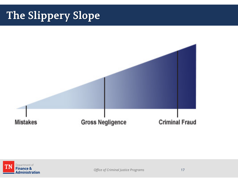## **The Slippery Slope**



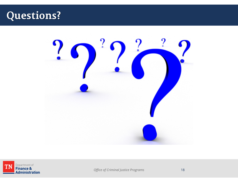### **Questions?**